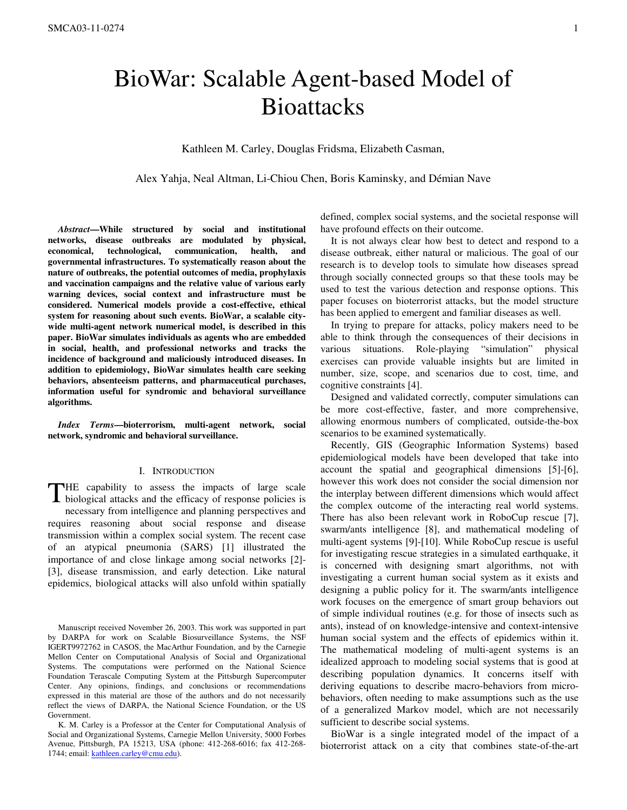# BioWar: Scalable Agent-based Model of **Bioattacks**

Kathleen M. Carley, Douglas Fridsma, Elizabeth Casman,

Alex Yahja, Neal Altman, Li-Chiou Chen, Boris Kaminsky, and Démian Nave

*Abstract***—While structured by social and institutional networks, disease outbreaks are modulated by physical, economical, technological, communication, health, and governmental infrastructures. To systematically reason about the nature of outbreaks, the potential outcomes of media, prophylaxis and vaccination campaigns and the relative value of various early warning devices, social context and infrastructure must be considered. Numerical models provide a cost-effective, ethical system for reasoning about such events. BioWar, a scalable citywide multi-agent network numerical model, is described in this paper. BioWar simulates individuals as agents who are embedded in social, health, and professional networks and tracks the incidence of background and maliciously introduced diseases. In addition to epidemiology, BioWar simulates health care seeking behaviors, absenteeism patterns, and pharmaceutical purchases, information useful for syndromic and behavioral surveillance algorithms.**

*Index Terms***—bioterrorism, multi-agent network, social network, syndromic and behavioral surveillance.**

#### I. INTRODUCTION

HE capability to assess the impacts of large scale THE capability to assess the impacts of large scale<br>biological attacks and the efficacy of response policies is necessary from intelligence and planning perspectives and requires reasoning about social response and disease transmission within a complex social system. The recent case of an atypical pneumonia (SARS) [1] illustrated the importance of and close linkage among social networks [2]- [3], disease transmission, and early detection. Like natural epidemics, biological attacks will also unfold within spatially

defined, complex social systems, and the societal response will have profound effects on their outcome.

It is not always clear how best to detect and respond to a disease outbreak, either natural or malicious. The goal of our research is to develop tools to simulate how diseases spread through socially connected groups so that these tools may be used to test the various detection and response options. This paper focuses on bioterrorist attacks, but the model structure has been applied to emergent and familiar diseases as well.

In trying to prepare for attacks, policy makers need to be able to think through the consequences of their decisions in various situations. Role-playing "simulation" physical exercises can provide valuable insights but are limited in number, size, scope, and scenarios due to cost, time, and cognitive constraints [4].

Designed and validated correctly, computer simulations can be more cost-effective, faster, and more comprehensive, allowing enormous numbers of complicated, outside-the-box scenarios to be examined systematically.

Recently, GIS (Geographic Information Systems) based epidemiological models have been developed that take into account the spatial and geographical dimensions [5]-[6], however this work does not consider the social dimension nor the interplay between different dimensions which would affect the complex outcome of the interacting real world systems. There has also been relevant work in RoboCup rescue [7], swarm/ants intelligence [8], and mathematical modeling of multi-agent systems [9]-[10]. While RoboCup rescue is useful for investigating rescue strategies in a simulated earthquake, it is concerned with designing smart algorithms, not with investigating a current human social system as it exists and designing a public policy for it. The swarm/ants intelligence work focuses on the emergence of smart group behaviors out of simple individual routines (e.g. for those of insects such as ants), instead of on knowledge-intensive and context-intensive human social system and the effects of epidemics within it. The mathematical modeling of multi-agent systems is an idealized approach to modeling social systems that is good at describing population dynamics. It concerns itself with deriving equations to describe macro-behaviors from microbehaviors, often needing to make assumptions such as the use of a generalized Markov model, which are not necessarily sufficient to describe social systems.

BioWar is a single integrated model of the impact of a bioterrorist attack on a city that combines state-of-the-art

Manuscript received November 26, 2003. This work was supported in part by DARPA for work on Scalable Biosurveillance Systems, the NSF IGERT9972762 in CASOS, the MacArthur Foundation, and by the Carnegie Mellon Center on Computational Analysis of Social and Organizational Systems. The computations were performed on the National Science Foundation Terascale Computing System at the Pittsburgh Supercomputer Center. Any opinions, findings, and conclusions or recommendations expressed in this material are those of the authors and do not necessarily reflect the views of DARPA, the National Science Foundation, or the US Government.

K. M. Carley is a Professor at the Center for Computational Analysis of Social and Organizational Systems, Carnegie Mellon University, 5000 Forbes Avenue, Pittsburgh, PA 15213, USA (phone: 412-268-6016; fax 412-268- 1744; email: kathleen.carley@cmu.edu).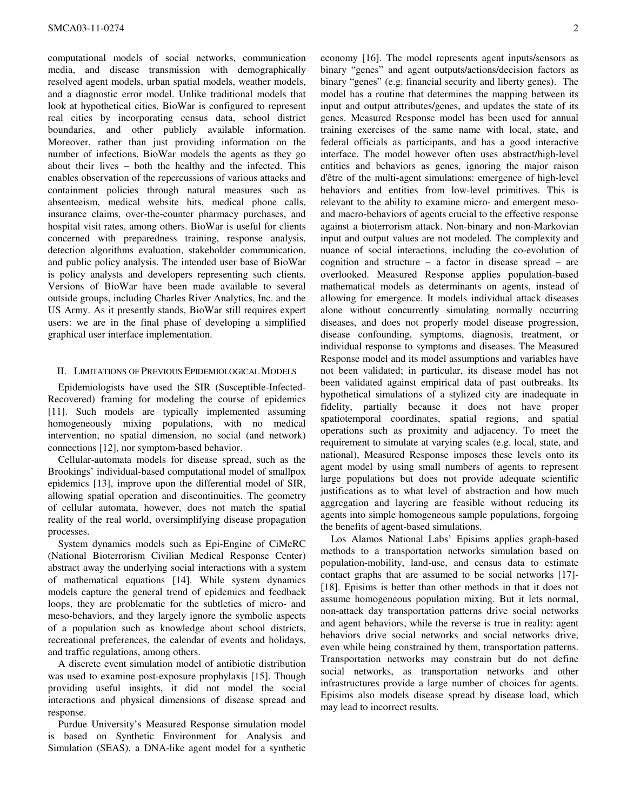computational models of social networks, communication media, and disease transmission with demographically resolved agent models, urban spatial models, weather models, and a diagnostic error model. Unlike traditional models that look at hypothetical cities, BioWar is configured to represent real cities by incorporating census data, school district boundaries, and other publicly available information. Moreover, rather than just providing information on the number of infections, BioWar models the agents as they go about their lives – both the healthy and the infected. This enables observation of the repercussions of various attacks and containment policies through natural measures such as absenteeism, medical website hits, medical phone calls, insurance claims, over-the-counter pharmacy purchases, and hospital visit rates, among others. BioWar is useful for clients concerned with preparedness training, response analysis, detection algorithms evaluation, stakeholder communication, and public policy analysis. The intended user base of BioWar is policy analysts and developers representing such clients. Versions of BioWar have been made available to several outside groups, including Charles River Analytics, Inc. and the US Army. As it presently stands, BioWar still requires expert users: we are in the final phase of developing a simplified graphical user interface implementation.

# II. LIMITATIONS OF PREVIOUS EPIDEMIOLOGICAL MODELS

Epidemiologists have used the SIR (Susceptible-Infected-Recovered) framing for modeling the course of epidemics [11]. Such models are typically implemented assuming homogeneously mixing populations, with no medical intervention, no spatial dimension, no social (and network) connections [12], nor symptom-based behavior.

Cellular-automata models for disease spread, such as the Brookings' individual-based computational model of smallpox epidemics [13], improve upon the differential model of SIR, allowing spatial operation and discontinuities. The geometry of cellular automata, however, does not match the spatial reality of the real world, oversimplifying disease propagation processes.

System dynamics models such as Epi-Engine of CiMeRC (National Bioterrorism Civilian Medical Response Center) abstract away the underlying social interactions with a system of mathematical equations [14]. While system dynamics models capture the general trend of epidemics and feedback loops, they are problematic for the subtleties of micro- and meso-behaviors, and they largely ignore the symbolic aspects of a population such as knowledge about school districts, recreational preferences, the calendar of events and holidays, and traffic regulations, among others.

A discrete event simulation model of antibiotic distribution was used to examine post-exposure prophylaxis [15]. Though providing useful insights, it did not model the social interactions and physical dimensions of disease spread and response.

Purdue University's Measured Response simulation model is based on Synthetic Environment for Analysis and Simulation (SEAS), a DNA-like agent model for a synthetic economy [16]. The model represents agent inputs/sensors as binary "genes" and agent outputs/actions/decision factors as binary "genes" (e.g. financial security and liberty genes). The model has a routine that determines the mapping between its input and output attributes/genes, and updates the state of its genes. Measured Response model has been used for annual training exercises of the same name with local, state, and federal officials as participants, and has a good interactive interface. The model however often uses abstract/high-level entities and behaviors as genes, ignoring the major raison d'être of the multi-agent simulations: emergence of high-level behaviors and entities from low-level primitives. This is relevant to the ability to examine micro- and emergent mesoand macro-behaviors of agents crucial to the effective response against a bioterrorism attack. Non-binary and non-Markovian input and output values are not modeled. The complexity and nuance of social interactions, including the co-evolution of cognition and structure – a factor in disease spread – are overlooked. Measured Response applies population-based mathematical models as determinants on agents, instead of allowing for emergence. It models individual attack diseases alone without concurrently simulating normally occurring diseases, and does not properly model disease progression, disease confounding, symptoms, diagnosis, treatment, or individual response to symptoms and diseases. The Measured Response model and its model assumptions and variables have not been validated; in particular, its disease model has not been validated against empirical data of past outbreaks. Its hypothetical simulations of a stylized city are inadequate in fidelity, partially because it does not have proper spatiotemporal coordinates, spatial regions, and spatial operations such as proximity and adjacency. To meet the requirement to simulate at varying scales (e.g. local, state, and national), Measured Response imposes these levels onto its agent model by using small numbers of agents to represent large populations but does not provide adequate scientific justifications as to what level of abstraction and how much aggregation and layering are feasible without reducing its agents into simple homogeneous sample populations, forgoing the benefits of agent-based simulations.

Los Alamos National Labs' Episims applies graph-based methods to a transportation networks simulation based on population-mobility, land-use, and census data to estimate contact graphs that are assumed to be social networks [17]- [18]. Episims is better than other methods in that it does not assume homogeneous population mixing. But it lets normal, non-attack day transportation patterns drive social networks and agent behaviors, while the reverse is true in reality: agent behaviors drive social networks and social networks drive, even while being constrained by them, transportation patterns. Transportation networks may constrain but do not define social networks, as transportation networks and other infrastructures provide a large number of choices for agents. Episims also models disease spread by disease load, which may lead to incorrect results.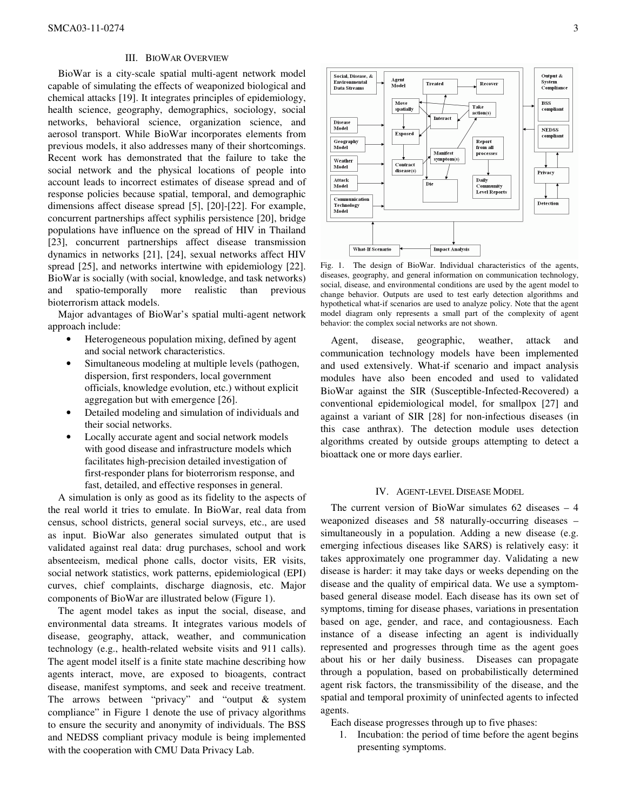# III. BIOWAR OVERVIEW

BioWar is a city-scale spatial multi-agent network model capable of simulating the effects of weaponized biological and chemical attacks [19]. It integrates principles of epidemiology, health science, geography, demographics, sociology, social networks, behavioral science, organization science, and aerosol transport. While BioWar incorporates elements from previous models, it also addresses many of their shortcomings. Recent work has demonstrated that the failure to take the social network and the physical locations of people into account leads to incorrect estimates of disease spread and of response policies because spatial, temporal, and demographic dimensions affect disease spread [5], [20]-[22]. For example, concurrent partnerships affect syphilis persistence [20], bridge populations have influence on the spread of HIV in Thailand [23], concurrent partnerships affect disease transmission dynamics in networks [21], [24], sexual networks affect HIV spread [25], and networks intertwine with epidemiology [22]. BioWar is socially (with social, knowledge, and task networks) and spatio-temporally more realistic than previous bioterrorism attack models.

Major advantages of BioWar's spatial multi-agent network approach include:

- Heterogeneous population mixing, defined by agent and social network characteristics.
- Simultaneous modeling at multiple levels (pathogen, dispersion, first responders, local government officials, knowledge evolution, etc.) without explicit aggregation but with emergence [26].
- Detailed modeling and simulation of individuals and their social networks.
- Locally accurate agent and social network models with good disease and infrastructure models which facilitates high-precision detailed investigation of first-responder plans for bioterrorism response, and fast, detailed, and effective responses in general.

A simulation is only as good as its fidelity to the aspects of the real world it tries to emulate. In BioWar, real data from census, school districts, general social surveys, etc., are used as input. BioWar also generates simulated output that is validated against real data: drug purchases, school and work absenteeism, medical phone calls, doctor visits, ER visits, social network statistics, work patterns, epidemiological (EPI) curves, chief complaints, discharge diagnosis, etc. Major components of BioWar are illustrated below (Figure 1).

The agent model takes as input the social, disease, and environmental data streams. It integrates various models of disease, geography, attack, weather, and communication technology (e.g., health-related website visits and 911 calls). The agent model itself is a finite state machine describing how agents interact, move, are exposed to bioagents, contract disease, manifest symptoms, and seek and receive treatment. The arrows between "privacy" and "output & system compliance" in Figure 1 denote the use of privacy algorithms to ensure the security and anonymity of individuals. The BSS and NEDSS compliant privacy module is being implemented with the cooperation with CMU Data Privacy Lab.



Fig. 1. The design of BioWar. Individual characteristics of the agents, diseases, geography, and general information on communication technology, social, disease, and environmental conditions are used by the agent model to change behavior. Outputs are used to test early detection algorithms and hypothetical what-if scenarios are used to analyze policy. Note that the agent model diagram only represents a small part of the complexity of agent behavior: the complex social networks are not shown.

Agent, disease, geographic, weather, attack and communication technology models have been implemented and used extensively. What-if scenario and impact analysis modules have also been encoded and used to validated BioWar against the SIR (Susceptible-Infected-Recovered) a conventional epidemiological model, for smallpox [27] and against a variant of SIR [28] for non-infectious diseases (in this case anthrax). The detection module uses detection algorithms created by outside groups attempting to detect a bioattack one or more days earlier.

## IV. AGENT-LEVEL DISEASE MODEL

The current version of BioWar simulates 62 diseases – 4 weaponized diseases and 58 naturally-occurring diseases – simultaneously in a population. Adding a new disease (e.g. emerging infectious diseases like SARS) is relatively easy: it takes approximately one programmer day. Validating a new disease is harder: it may take days or weeks depending on the disease and the quality of empirical data. We use a symptombased general disease model. Each disease has its own set of symptoms, timing for disease phases, variations in presentation based on age, gender, and race, and contagiousness. Each instance of a disease infecting an agent is individually represented and progresses through time as the agent goes about his or her daily business. Diseases can propagate through a population, based on probabilistically determined agent risk factors, the transmissibility of the disease, and the spatial and temporal proximity of uninfected agents to infected agents.

- Each disease progresses through up to five phases:
	- 1. Incubation: the period of time before the agent begins presenting symptoms.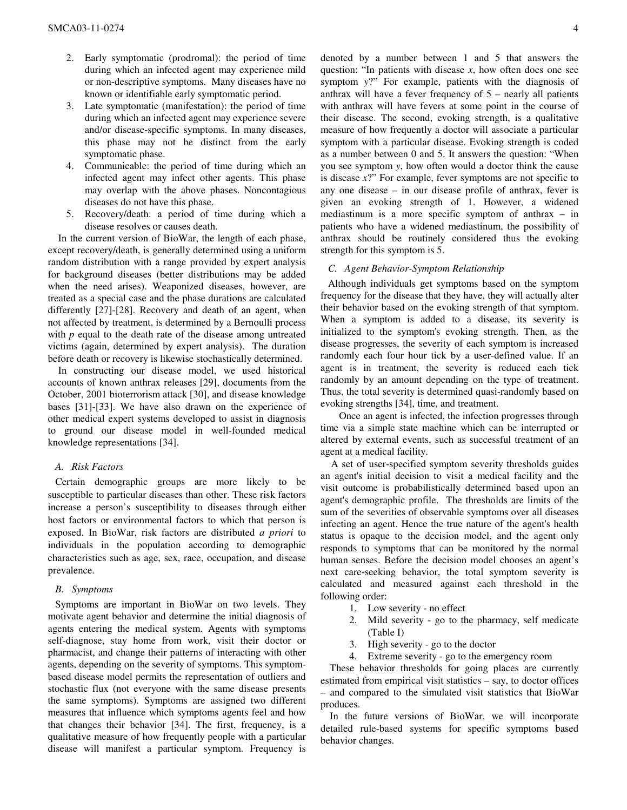- 2. Early symptomatic (prodromal): the period of time during which an infected agent may experience mild or non-descriptive symptoms. Many diseases have no known or identifiable early symptomatic period.
- 3. Late symptomatic (manifestation): the period of time during which an infected agent may experience severe and/or disease-specific symptoms. In many diseases, this phase may not be distinct from the early symptomatic phase.
- 4. Communicable: the period of time during which an infected agent may infect other agents. This phase may overlap with the above phases. Noncontagious diseases do not have this phase.
- 5. Recovery/death: a period of time during which a disease resolves or causes death.

In the current version of BioWar, the length of each phase, except recovery/death, is generally determined using a uniform random distribution with a range provided by expert analysis for background diseases (better distributions may be added when the need arises). Weaponized diseases, however, are treated as a special case and the phase durations are calculated differently [27]-[28]. Recovery and death of an agent, when not affected by treatment, is determined by a Bernoulli process with *p* equal to the death rate of the disease among untreated victims (again, determined by expert analysis). The duration before death or recovery is likewise stochastically determined.

In constructing our disease model, we used historical accounts of known anthrax releases [29], documents from the October, 2001 bioterrorism attack [30], and disease knowledge bases [31]-[33]. We have also drawn on the experience of other medical expert systems developed to assist in diagnosis to ground our disease model in well-founded medical knowledge representations [34].

# *A. Risk Factors*

Certain demographic groups are more likely to be susceptible to particular diseases than other. These risk factors increase a person's susceptibility to diseases through either host factors or environmental factors to which that person is exposed. In BioWar, risk factors are distributed *a priori* to individuals in the population according to demographic characteristics such as age, sex, race, occupation, and disease prevalence.

# *B. Symptoms*

Symptoms are important in BioWar on two levels. They motivate agent behavior and determine the initial diagnosis of agents entering the medical system. Agents with symptoms self-diagnose, stay home from work, visit their doctor or pharmacist, and change their patterns of interacting with other agents, depending on the severity of symptoms. This symptombased disease model permits the representation of outliers and stochastic flux (not everyone with the same disease presents the same symptoms). Symptoms are assigned two different measures that influence which symptoms agents feel and how that changes their behavior [34]. The first, frequency, is a qualitative measure of how frequently people with a particular disease will manifest a particular symptom. Frequency is denoted by a number between 1 and 5 that answers the question: "In patients with disease *x*, how often does one see symptom *y*?" For example, patients with the diagnosis of anthrax will have a fever frequency of 5 – nearly all patients with anthrax will have fevers at some point in the course of their disease. The second, evoking strength, is a qualitative measure of how frequently a doctor will associate a particular symptom with a particular disease. Evoking strength is coded as a number between 0 and 5. It answers the question: "When you see symptom *y*, how often would a doctor think the cause is disease *x*?" For example, fever symptoms are not specific to any one disease – in our disease profile of anthrax, fever is given an evoking strength of 1. However, a widened mediastinum is a more specific symptom of anthrax – in patients who have a widened mediastinum, the possibility of anthrax should be routinely considered thus the evoking strength for this symptom is 5.

## *C. Agent Behavior-Symptom Relationship*

Although individuals get symptoms based on the symptom frequency for the disease that they have, they will actually alter their behavior based on the evoking strength of that symptom. When a symptom is added to a disease, its severity is initialized to the symptom's evoking strength. Then, as the disease progresses, the severity of each symptom is increased randomly each four hour tick by a user-defined value. If an agent is in treatment, the severity is reduced each tick randomly by an amount depending on the type of treatment. Thus, the total severity is determined quasi-randomly based on evoking strengths [34], time, and treatment.

Once an agent is infected, the infection progresses through time via a simple state machine which can be interrupted or altered by external events, such as successful treatment of an agent at a medical facility.

A set of user-specified symptom severity thresholds guides an agent's initial decision to visit a medical facility and the visit outcome is probabilistically determined based upon an agent's demographic profile. The thresholds are limits of the sum of the severities of observable symptoms over all diseases infecting an agent. Hence the true nature of the agent's health status is opaque to the decision model, and the agent only responds to symptoms that can be monitored by the normal human senses. Before the decision model chooses an agent's next care-seeking behavior, the total symptom severity is calculated and measured against each threshold in the following order:

- 1. Low severity no effect
- 2. Mild severity go to the pharmacy, self medicate (Table I)
- 3. High severity go to the doctor
- 4. Extreme severity go to the emergency room

These behavior thresholds for going places are currently estimated from empirical visit statistics – say, to doctor offices – and compared to the simulated visit statistics that BioWar produces.

In the future versions of BioWar, we will incorporate detailed rule-based systems for specific symptoms based behavior changes.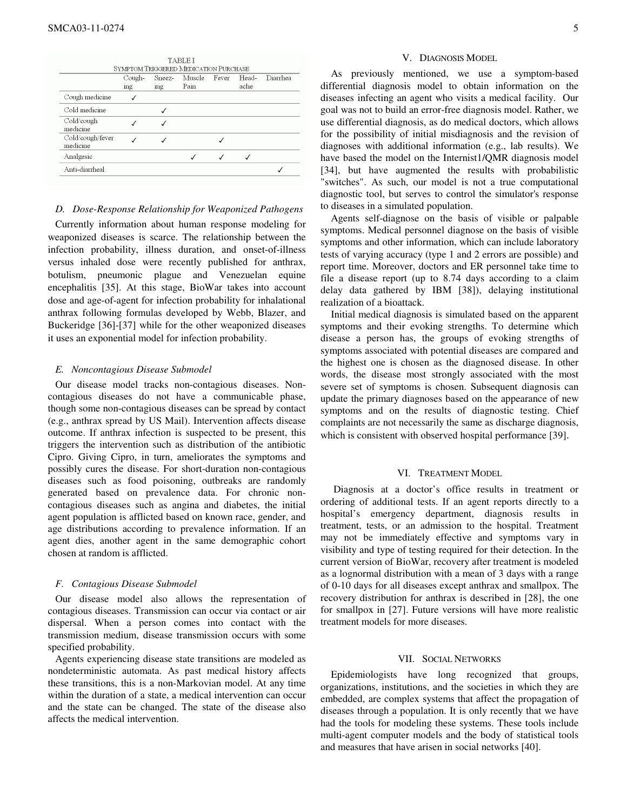|                              | Cough- | Sneez- | Muscle | Fever | Head- | Diarrhea |
|------------------------------|--------|--------|--------|-------|-------|----------|
|                              | ing    | mg     | Pain   |       | ache  |          |
| Cough medicine               |        |        |        |       |       |          |
| Cold medicine                |        |        |        |       |       |          |
| Cold/cough<br>medicine       |        |        |        |       |       |          |
| Cold/cough/fever<br>medicine |        |        |        |       |       |          |
| Analgesic                    |        |        |        |       |       |          |

# *D. Dose-Response Relationship for Weaponized Pathogens*

Currently information about human response modeling for weaponized diseases is scarce. The relationship between the infection probability, illness duration, and onset-of-illness versus inhaled dose were recently published for anthrax, botulism, pneumonic plague and Venezuelan equine encephalitis [35]. At this stage, BioWar takes into account dose and age-of-agent for infection probability for inhalational anthrax following formulas developed by Webb, Blazer, and Buckeridge [36]-[37] while for the other weaponized diseases it uses an exponential model for infection probability.

# *E. Noncontagious Disease Submodel*

Our disease model tracks non-contagious diseases. Noncontagious diseases do not have a communicable phase, though some non-contagious diseases can be spread by contact (e.g., anthrax spread by US Mail). Intervention affects disease outcome. If anthrax infection is suspected to be present, this triggers the intervention such as distribution of the antibiotic Cipro. Giving Cipro, in turn, ameliorates the symptoms and possibly cures the disease. For short-duration non-contagious diseases such as food poisoning, outbreaks are randomly generated based on prevalence data. For chronic noncontagious diseases such as angina and diabetes, the initial agent population is afflicted based on known race, gender, and age distributions according to prevalence information. If an agent dies, another agent in the same demographic cohort chosen at random is afflicted.

# *F. Contagious Disease Submodel*

Our disease model also allows the representation of contagious diseases. Transmission can occur via contact or air dispersal. When a person comes into contact with the transmission medium, disease transmission occurs with some specified probability.

Agents experiencing disease state transitions are modeled as nondeterministic automata. As past medical history affects these transitions, this is a non-Markovian model. At any time within the duration of a state, a medical intervention can occur and the state can be changed. The state of the disease also affects the medical intervention.

### V. DIAGNOSIS MODEL

As previously mentioned, we use a symptom-based differential diagnosis model to obtain information on the diseases infecting an agent who visits a medical facility. Our goal was not to build an error-free diagnosis model. Rather, we use differential diagnosis, as do medical doctors, which allows for the possibility of initial misdiagnosis and the revision of diagnoses with additional information (e.g., lab results). We have based the model on the Internist1/QMR diagnosis model [34], but have augmented the results with probabilistic "switches". As such, our model is not a true computational diagnostic tool, but serves to control the simulator's response to diseases in a simulated population.

Agents self-diagnose on the basis of visible or palpable symptoms. Medical personnel diagnose on the basis of visible symptoms and other information, which can include laboratory tests of varying accuracy (type 1 and 2 errors are possible) and report time. Moreover, doctors and ER personnel take time to file a disease report (up to 8.74 days according to a claim delay data gathered by IBM [38]), delaying institutional realization of a bioattack.

Initial medical diagnosis is simulated based on the apparent symptoms and their evoking strengths. To determine which disease a person has, the groups of evoking strengths of symptoms associated with potential diseases are compared and the highest one is chosen as the diagnosed disease. In other words, the disease most strongly associated with the most severe set of symptoms is chosen. Subsequent diagnosis can update the primary diagnoses based on the appearance of new symptoms and on the results of diagnostic testing. Chief complaints are not necessarily the same as discharge diagnosis, which is consistent with observed hospital performance [39].

# VI. TREATMENT MODEL

Diagnosis at a doctor's office results in treatment or ordering of additional tests. If an agent reports directly to a hospital's emergency department, diagnosis results in treatment, tests, or an admission to the hospital. Treatment may not be immediately effective and symptoms vary in visibility and type of testing required for their detection. In the current version of BioWar, recovery after treatment is modeled as a lognormal distribution with a mean of 3 days with a range of 0-10 days for all diseases except anthrax and smallpox. The recovery distribution for anthrax is described in [28], the one for smallpox in [27]. Future versions will have more realistic treatment models for more diseases.

# VII. SOCIAL NETWORKS

Epidemiologists have long recognized that groups, organizations, institutions, and the societies in which they are embedded, are complex systems that affect the propagation of diseases through a population. It is only recently that we have had the tools for modeling these systems. These tools include multi-agent computer models and the body of statistical tools and measures that have arisen in social networks [40].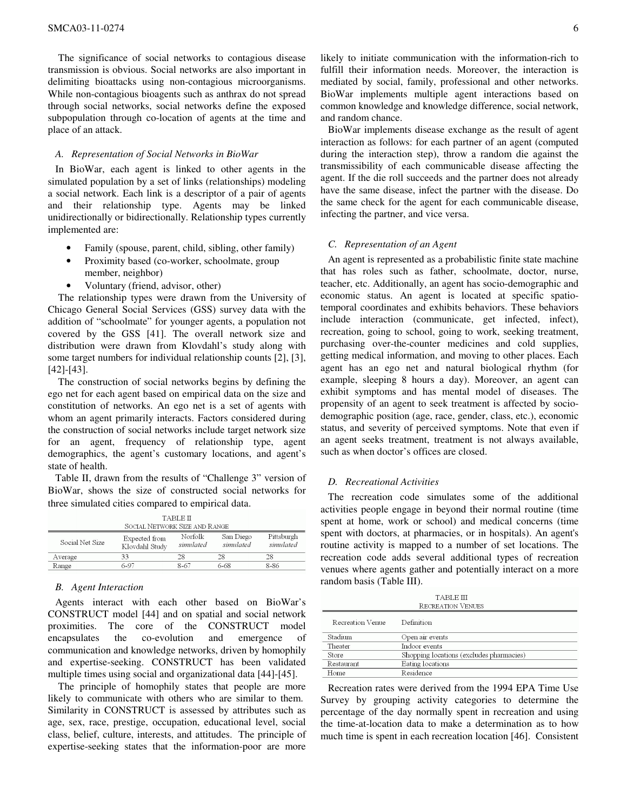The significance of social networks to contagious disease transmission is obvious. Social networks are also important in delimiting bioattacks using non-contagious microorganisms. While non-contagious bioagents such as anthrax do not spread through social networks, social networks define the exposed subpopulation through co-location of agents at the time and place of an attack.

# *A. Representation of Social Networks in BioWar*

In BioWar, each agent is linked to other agents in the simulated population by a set of links (relationships) modeling a social network. Each link is a descriptor of a pair of agents and their relationship type. Agents may be linked unidirectionally or bidirectionally. Relationship types currently implemented are:

- Family (spouse, parent, child, sibling, other family)
- Proximity based (co-worker, schoolmate, group member, neighbor)
- Voluntary (friend, advisor, other)

The relationship types were drawn from the University of Chicago General Social Services (GSS) survey data with the addition of "schoolmate" for younger agents, a population not covered by the GSS [41]. The overall network size and distribution were drawn from Klovdahl's study along with some target numbers for individual relationship counts [2], [3], [42]-[43].

The construction of social networks begins by defining the ego net for each agent based on empirical data on the size and constitution of networks. An ego net is a set of agents with whom an agent primarily interacts. Factors considered during the construction of social networks include target network size for an agent, frequency of relationship type, agent demographics, the agent's customary locations, and agent's state of health.

Table II, drawn from the results of "Challenge 3" version of BioWar, shows the size of constructed social networks for three simulated cities compared to empirical data.

|                 |                                      | TABLE II             |                        |                         |
|-----------------|--------------------------------------|----------------------|------------------------|-------------------------|
|                 | <b>SOCIAL NETWORK SIZE AND RANGE</b> |                      |                        |                         |
| Social Net Size | Expected from<br>Klovdahl Study      | Norfolk<br>simulated | San Diego<br>simulated | Pittsburgh<br>simulated |
| Average         | 33                                   | 28                   | 28                     | 28                      |
| Range           | 6-97                                 | 8-67                 | 6-68                   | 8-86                    |

## *B. Agent Interaction*

Agents interact with each other based on BioWar's CONSTRUCT model [44] and on spatial and social network proximities. The core of the CONSTRUCT model encapsulates the co-evolution and emergence of communication and knowledge networks, driven by homophily and expertise-seeking. CONSTRUCT has been validated multiple times using social and organizational data [44]-[45].

The principle of homophily states that people are more likely to communicate with others who are similar to them. Similarity in CONSTRUCT is assessed by attributes such as age, sex, race, prestige, occupation, educational level, social class, belief, culture, interests, and attitudes. The principle of expertise-seeking states that the information-poor are more

likely to initiate communication with the information-rich to fulfill their information needs. Moreover, the interaction is mediated by social, family, professional and other networks. BioWar implements multiple agent interactions based on common knowledge and knowledge difference, social network, and random chance.

BioWar implements disease exchange as the result of agent interaction as follows: for each partner of an agent (computed during the interaction step), throw a random die against the transmissibility of each communicable disease affecting the agent. If the die roll succeeds and the partner does not already have the same disease, infect the partner with the disease. Do the same check for the agent for each communicable disease, infecting the partner, and vice versa.

# *C. Representation of an Agent*

An agent is represented as a probabilistic finite state machine that has roles such as father, schoolmate, doctor, nurse, teacher, etc. Additionally, an agent has socio-demographic and economic status. An agent is located at specific spatiotemporal coordinates and exhibits behaviors. These behaviors include interaction (communicate, get infected, infect), recreation, going to school, going to work, seeking treatment, purchasing over-the-counter medicines and cold supplies, getting medical information, and moving to other places. Each agent has an ego net and natural biological rhythm (for example, sleeping 8 hours a day). Moreover, an agent can exhibit symptoms and has mental model of diseases. The propensity of an agent to seek treatment is affected by sociodemographic position (age, race, gender, class, etc.), economic status, and severity of perceived symptoms. Note that even if an agent seeks treatment, treatment is not always available, such as when doctor's offices are closed.

# *D. Recreational Activities*

The recreation code simulates some of the additional activities people engage in beyond their normal routine (time spent at home, work or school) and medical concerns (time spent with doctors, at pharmacies, or in hospitals). An agent's routine activity is mapped to a number of set locations. The recreation code adds several additional types of recreation venues where agents gather and potentially interact on a more random basis (Table III).

| TABLE III<br><b>RECREATION VENUES</b> |                                          |  |  |
|---------------------------------------|------------------------------------------|--|--|
| Recreation Venue                      | Definition                               |  |  |
| Stadium                               | Open air events                          |  |  |
| Theater                               | Indoor events                            |  |  |
| Store                                 | Shopping locations (excludes pharmacies) |  |  |
| Restaurant                            | Eating locations                         |  |  |
| Home                                  | Residence                                |  |  |

Recreation rates were derived from the 1994 EPA Time Use Survey by grouping activity categories to determine the percentage of the day normally spent in recreation and using the time-at-location data to make a determination as to how much time is spent in each recreation location [46]. Consistent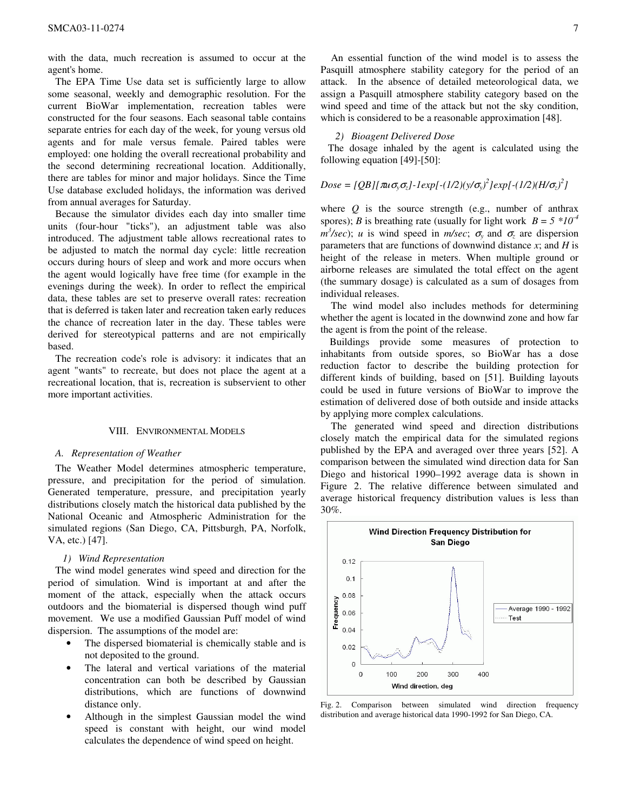with the data, much recreation is assumed to occur at the agent's home.

The EPA Time Use data set is sufficiently large to allow some seasonal, weekly and demographic resolution. For the current BioWar implementation, recreation tables were constructed for the four seasons. Each seasonal table contains separate entries for each day of the week, for young versus old agents and for male versus female. Paired tables were employed: one holding the overall recreational probability and the second determining recreational location. Additionally, there are tables for minor and major holidays. Since the Time Use database excluded holidays, the information was derived from annual averages for Saturday.

Because the simulator divides each day into smaller time units (four-hour "ticks"), an adjustment table was also introduced. The adjustment table allows recreational rates to be adjusted to match the normal day cycle: little recreation occurs during hours of sleep and work and more occurs when the agent would logically have free time (for example in the evenings during the week). In order to reflect the empirical data, these tables are set to preserve overall rates: recreation that is deferred is taken later and recreation taken early reduces the chance of recreation later in the day. These tables were derived for stereotypical patterns and are not empirically based.

The recreation code's role is advisory: it indicates that an agent "wants" to recreate, but does not place the agent at a recreational location, that is, recreation is subservient to other more important activities.

# VIII. ENVIRONMENTAL MODELS

#### *A. Representation of Weather*

The Weather Model determines atmospheric temperature, pressure, and precipitation for the period of simulation. Generated temperature, pressure, and precipitation yearly distributions closely match the historical data published by the National Oceanic and Atmospheric Administration for the simulated regions (San Diego, CA, Pittsburgh, PA, Norfolk, VA, etc.) [47].

# *1) Wind Representation*

The wind model generates wind speed and direction for the period of simulation. Wind is important at and after the moment of the attack, especially when the attack occurs outdoors and the biomaterial is dispersed though wind puff movement. We use a modified Gaussian Puff model of wind dispersion. The assumptions of the model are:

- The dispersed biomaterial is chemically stable and is not deposited to the ground.
- The lateral and vertical variations of the material concentration can both be described by Gaussian distributions, which are functions of downwind distance only.
- Although in the simplest Gaussian model the wind speed is constant with height, our wind model calculates the dependence of wind speed on height.

An essential function of the wind model is to assess the Pasquill atmosphere stability category for the period of an attack. In the absence of detailed meteorological data, we assign a Pasquill atmosphere stability category based on the wind speed and time of the attack but not the sky condition, which is considered to be a reasonable approximation [48].

### *2) Bioagent Delivered Dose*

The dosage inhaled by the agent is calculated using the following equation [49]-[50]:

$$
Dose = [QB][\pi u \sigma_y \sigma_z] - lexp[-(1/2)(y/\sigma_y)^2]exp[-(1/2)(H/\sigma_z)^2]
$$

where  $Q$  is the source strength (e.g., number of anthrax spores); *B* is breathing rate (usually for light work  $B = 5 * 10^{-4}$  $m^3$ /sec); *u* is wind speed in *m/sec*;  $\sigma_y$  and  $\sigma_z$  are dispersion parameters that are functions of downwind distance *x*; and *H* is height of the release in meters. When multiple ground or airborne releases are simulated the total effect on the agent (the summary dosage) is calculated as a sum of dosages from individual releases.

The wind model also includes methods for determining whether the agent is located in the downwind zone and how far the agent is from the point of the release.

Buildings provide some measures of protection to inhabitants from outside spores, so BioWar has a dose reduction factor to describe the building protection for different kinds of building, based on [51]. Building layouts could be used in future versions of BioWar to improve the estimation of delivered dose of both outside and inside attacks by applying more complex calculations.

The generated wind speed and direction distributions closely match the empirical data for the simulated regions published by the EPA and averaged over three years [52]. A comparison between the simulated wind direction data for San Diego and historical 1990–1992 average data is shown in Figure 2. The relative difference between simulated and average historical frequency distribution values is less than 30%.



Fig. 2. Comparison between simulated wind direction frequency distribution and average historical data 1990-1992 for San Diego, CA.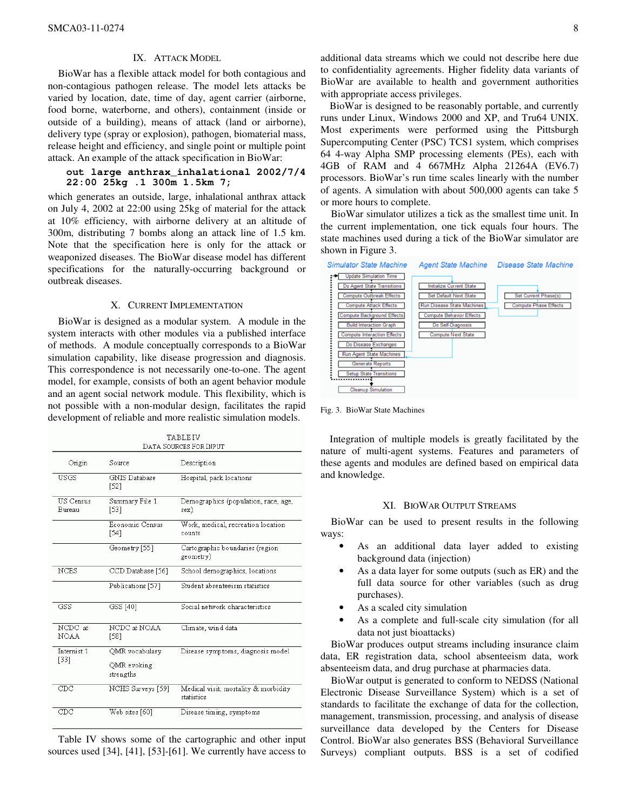# IX. ATTACK MODEL

BioWar has a flexible attack model for both contagious and non-contagious pathogen release. The model lets attacks be varied by location, date, time of day, agent carrier (airborne, food borne, waterborne, and others), containment (inside or outside of a building), means of attack (land or airborne), delivery type (spray or explosion), pathogen, biomaterial mass, release height and efficiency, and single point or multiple point attack. An example of the attack specification in BioWar:

# **out large anthrax\_inhalational 2002/7/4 22:00 25kg .1 300m 1.5km 7;**

which generates an outside, large, inhalational anthrax attack on July 4, 2002 at 22:00 using 25kg of material for the attack at 10% efficiency, with airborne delivery at an altitude of 300m, distributing 7 bombs along an attack line of 1.5 km. Note that the specification here is only for the attack or weaponized diseases. The BioWar disease model has different specifications for the naturally-occurring background or outbreak diseases.

# X. CURRENT IMPLEMENTATION

BioWar is designed as a modular system. A module in the system interacts with other modules via a published interface of methods. A module conceptually corresponds to a BioWar simulation capability, like disease progression and diagnosis. This correspondence is not necessarily one-to-one. The agent model, for example, consists of both an agent behavior module and an agent social network module. This flexibility, which is not possible with a non-modular design, facilitates the rapid development of reliable and more realistic simulation models.

| TABLEIV<br>DATA SOURCES FOR INPUT |                          |                                                    |  |  |
|-----------------------------------|--------------------------|----------------------------------------------------|--|--|
| Origin                            | Source                   | Description                                        |  |  |
| USGS                              | GNIS Database<br>[52]    | Hospital, park locations                           |  |  |
| US Census<br>Bureau               | Summary File 1<br>[53]   | Demographics (population, race, age,<br>sex)       |  |  |
|                                   | Economic Census<br>[54]  | Work, medical, recreation location<br>counts       |  |  |
|                                   | Geometry [55]            | Cartographic boundaries (region<br>geometry)       |  |  |
| <b>NCES</b>                       | CCD Database [56]        | School demographics, locations                     |  |  |
|                                   | Publications [57]        | Student absenteeism statistics                     |  |  |
| GSS                               | GSS [40]                 | Social network characteristics                     |  |  |
| NCDC at<br>NOAA                   | NCDC at NOAA<br>[58]     | Climate, wind data                                 |  |  |
| Internist <sub>1</sub><br>[33]    | QMR vocabulary           | Disease symptoms, diagnosis model                  |  |  |
|                                   | OMR evoking<br>strengths |                                                    |  |  |
| $_{\text{CDC}}$                   | NCHS Surveys [59]        | Medical visit, mortality & morbidity<br>statistics |  |  |
| CDC                               | Web sites [60]           | Disease timing, symptoms                           |  |  |

Table IV shows some of the cartographic and other input sources used [34], [41], [53]-[61]. We currently have access to additional data streams which we could not describe here due to confidentiality agreements. Higher fidelity data variants of BioWar are available to health and government authorities with appropriate access privileges.

BioWar is designed to be reasonably portable, and currently runs under Linux, Windows 2000 and XP, and Tru64 UNIX. Most experiments were performed using the Pittsburgh Supercomputing Center (PSC) TCS1 system, which comprises 64 4-way Alpha SMP processing elements (PEs), each with 4GB of RAM and 4 667MHz Alpha 21264A (EV6.7) processors. BioWar's run time scales linearly with the number of agents. A simulation with about 500,000 agents can take 5 or more hours to complete.

BioWar simulator utilizes a tick as the smallest time unit. In the current implementation, one tick equals four hours. The state machines used during a tick of the BioWar simulator are shown in Figure 3.



Fig. 3. BioWar State Machines

Integration of multiple models is greatly facilitated by the nature of multi-agent systems. Features and parameters of these agents and modules are defined based on empirical data and knowledge.

## XI. BIOWAR OUTPUT STREAMS

BioWar can be used to present results in the following ways:

- As an additional data layer added to existing background data (injection)
- As a data layer for some outputs (such as ER) and the full data source for other variables (such as drug purchases).
- As a scaled city simulation
- As a complete and full-scale city simulation (for all data not just bioattacks)

BioWar produces output streams including insurance claim data, ER registration data, school absenteeism data, work absenteeism data, and drug purchase at pharmacies data.

BioWar output is generated to conform to NEDSS (National Electronic Disease Surveillance System) which is a set of standards to facilitate the exchange of data for the collection, management, transmission, processing, and analysis of disease surveillance data developed by the Centers for Disease Control. BioWar also generates BSS (Behavioral Surveillance Surveys) compliant outputs. BSS is a set of codified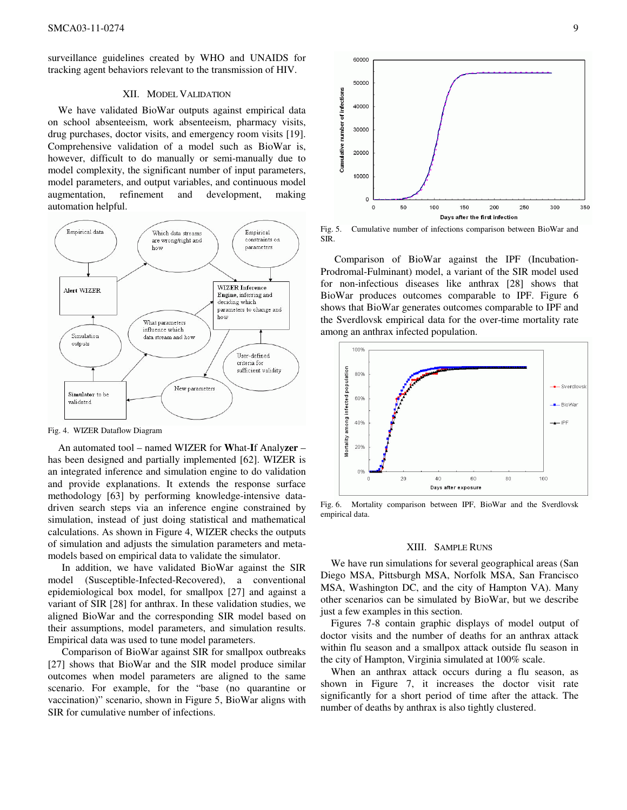surveillance guidelines created by WHO and UNAIDS for tracking agent behaviors relevant to the transmission of HIV.

# XII. MODEL VALIDATION

We have validated BioWar outputs against empirical data on school absenteeism, work absenteeism, pharmacy visits, drug purchases, doctor visits, and emergency room visits [19]. Comprehensive validation of a model such as BioWar is, however, difficult to do manually or semi-manually due to model complexity, the significant number of input parameters, model parameters, and output variables, and continuous model augmentation, refinement and development, making automation helpful.



Fig. 4. WIZER Dataflow Diagram

An automated tool – named WIZER for **W**hat-**I**f Analy**zer** – has been designed and partially implemented [62]. WIZER is an integrated inference and simulation engine to do validation and provide explanations. It extends the response surface methodology [63] by performing knowledge-intensive datadriven search steps via an inference engine constrained by simulation, instead of just doing statistical and mathematical calculations. As shown in Figure 4, WIZER checks the outputs of simulation and adjusts the simulation parameters and metamodels based on empirical data to validate the simulator.

In addition, we have validated BioWar against the SIR model (Susceptible-Infected-Recovered), a conventional epidemiological box model, for smallpox [27] and against a variant of SIR [28] for anthrax. In these validation studies, we aligned BioWar and the corresponding SIR model based on their assumptions, model parameters, and simulation results. Empirical data was used to tune model parameters.

Comparison of BioWar against SIR for smallpox outbreaks [27] shows that BioWar and the SIR model produce similar outcomes when model parameters are aligned to the same scenario. For example, for the "base (no quarantine or vaccination)" scenario, shown in Figure 5, BioWar aligns with SIR for cumulative number of infections.



Fig. 5. Cumulative number of infections comparison between BioWar and SIR.

Comparison of BioWar against the IPF (Incubation-Prodromal-Fulminant) model, a variant of the SIR model used for non-infectious diseases like anthrax [28] shows that BioWar produces outcomes comparable to IPF. Figure 6 shows that BioWar generates outcomes comparable to IPF and the Sverdlovsk empirical data for the over-time mortality rate among an anthrax infected population.



Fig. 6. Mortality comparison between IPF, BioWar and the Sverdlovsk empirical data.

#### XIII. SAMPLE RUNS

We have run simulations for several geographical areas (San Diego MSA, Pittsburgh MSA, Norfolk MSA, San Francisco MSA, Washington DC, and the city of Hampton VA). Many other scenarios can be simulated by BioWar, but we describe just a few examples in this section.

Figures 7-8 contain graphic displays of model output of doctor visits and the number of deaths for an anthrax attack within flu season and a smallpox attack outside flu season in the city of Hampton, Virginia simulated at 100% scale.

When an anthrax attack occurs during a flu season, as shown in Figure 7, it increases the doctor visit rate significantly for a short period of time after the attack. The number of deaths by anthrax is also tightly clustered.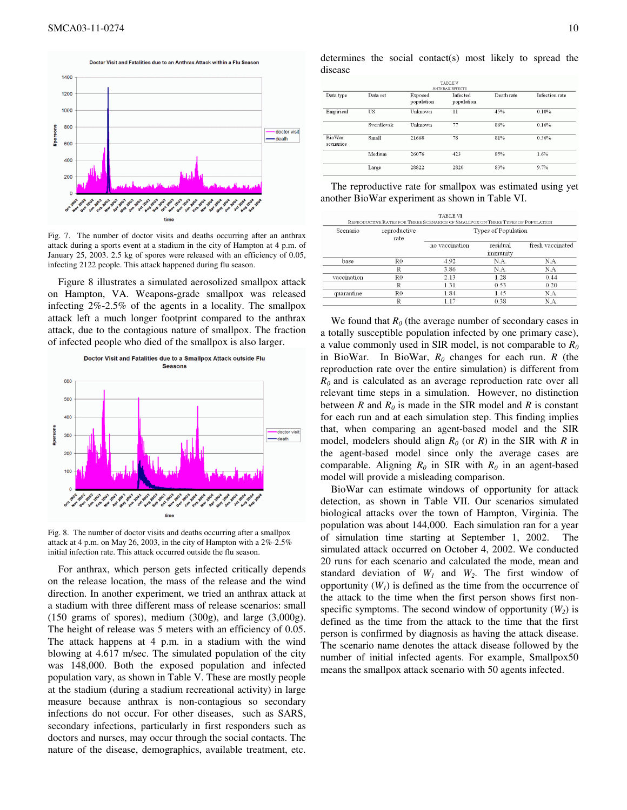

Fig. 7. The number of doctor visits and deaths occurring after an anthrax attack during a sports event at a stadium in the city of Hampton at 4 p.m. of January 25, 2003. 2.5 kg of spores were released with an efficiency of 0.05, infecting 2122 people. This attack happened during flu season.

Figure 8 illustrates a simulated aerosolized smallpox attack on Hampton, VA. Weapons-grade smallpox was released infecting 2%-2.5% of the agents in a locality. The smallpox attack left a much longer footprint compared to the anthrax attack, due to the contagious nature of smallpox. The fraction of infected people who died of the smallpox is also larger.



Fig. 8. The number of doctor visits and deaths occurring after a smallpox attack at 4 p.m. on May 26, 2003, in the city of Hampton with a 2%-2.5% initial infection rate. This attack occurred outside the flu season.

For anthrax, which person gets infected critically depends on the release location, the mass of the release and the wind direction. In another experiment, we tried an anthrax attack at a stadium with three different mass of release scenarios: small  $(150 \text{ grams of spores})$ , medium  $(300g)$ , and large  $(3,000g)$ . The height of release was 5 meters with an efficiency of 0.05. The attack happens at 4 p.m. in a stadium with the wind blowing at 4.617 m/sec. The simulated population of the city was 148,000. Both the exposed population and infected population vary, as shown in Table V. These are mostly people at the stadium (during a stadium recreational activity) in large measure because anthrax is non-contagious so secondary infections do not occur. For other diseases, such as SARS, secondary infections, particularly in first responders such as doctors and nurses, may occur through the social contacts. The nature of the disease, demographics, available treatment, etc. determines the social contact(s) most likely to spread the disease

| <b>TABLEV</b><br><b>ANTHRAX EFFECTS</b> |            |                       |                        |            |                |
|-----------------------------------------|------------|-----------------------|------------------------|------------|----------------|
| Data type                               | Data set   | Exposed<br>population | Infected<br>population | Death rate | Infection rate |
| Empirical                               | US         | Unknown               | 11                     | 45%        | 0.10%          |
|                                         | Sverdlovsk | Unknown               | 77                     | 86%        | 0.16%          |
| BioWar<br>scenarios                     | Small      | 21668                 | 78                     | 81%        | 0.36%          |
|                                         | Medium     | 26076                 | 423                    | 85%        | 1.6%           |
|                                         | Large      | 28822                 | 2820                   | 83%        | 9.7%           |

The reproductive rate for smallpox was estimated using yet another BioWar experiment as shown in Table VI.

| Scenario    | reproductive<br>rate | <b>TABLE VI</b><br>REPRODUCTIVE RATES FOR THREE SCENARIOS OF SMALLPOX ON THREE TYPES OF POPULATION | Types of Population  |                  |
|-------------|----------------------|----------------------------------------------------------------------------------------------------|----------------------|------------------|
|             |                      | no vaccination                                                                                     | residual<br>immunity | fresh vaccinated |
| base        | R <sub>0</sub>       | 4.92                                                                                               | N.A.                 | N.A.             |
|             | R                    | 3.86                                                                                               | N.A.                 | N.A.             |
| vaccination | $_{\rm R0}$          | 2.13                                                                                               | 1.28                 | 0.44             |
|             | R                    | 1.31                                                                                               | 0.53                 | 0.20             |
| quarantine  | R <sub>0</sub>       | 1.84                                                                                               | 1.45                 | N.A.             |
|             | R                    | 1.17                                                                                               | 0.38                 | N.A.             |

We found that  $R_0$  (the average number of secondary cases in a totally susceptible population infected by one primary case), a value commonly used in SIR model, is not comparable to *R<sup>0</sup>* in BioWar. In BioWar, *R<sup>0</sup>* changes for each run. *R* (the reproduction rate over the entire simulation) is different from *R<sup>0</sup>* and is calculated as an average reproduction rate over all relevant time steps in a simulation. However, no distinction between *R* and  $R_0$  is made in the SIR model and *R* is constant for each run and at each simulation step. This finding implies that, when comparing an agent-based model and the SIR model, modelers should align  $R_0$  (or  $R$ ) in the SIR with  $R$  in the agent-based model since only the average cases are comparable. Aligning  $R_0$  in SIR with  $R_0$  in an agent-based model will provide a misleading comparison.

BioWar can estimate windows of opportunity for attack detection, as shown in Table VII. Our scenarios simulated biological attacks over the town of Hampton, Virginia. The population was about 144,000. Each simulation ran for a year of simulation time starting at September 1, 2002. The simulated attack occurred on October 4, 2002. We conducted 20 runs for each scenario and calculated the mode, mean and standard deviation of  $W_1$  and  $W_2$ . The first window of opportunity  $(W_I)$  is defined as the time from the occurrence of the attack to the time when the first person shows first nonspecific symptoms. The second window of opportunity  $(W_2)$  is defined as the time from the attack to the time that the first person is confirmed by diagnosis as having the attack disease. The scenario name denotes the attack disease followed by the number of initial infected agents. For example, Smallpox50 means the smallpox attack scenario with 50 agents infected.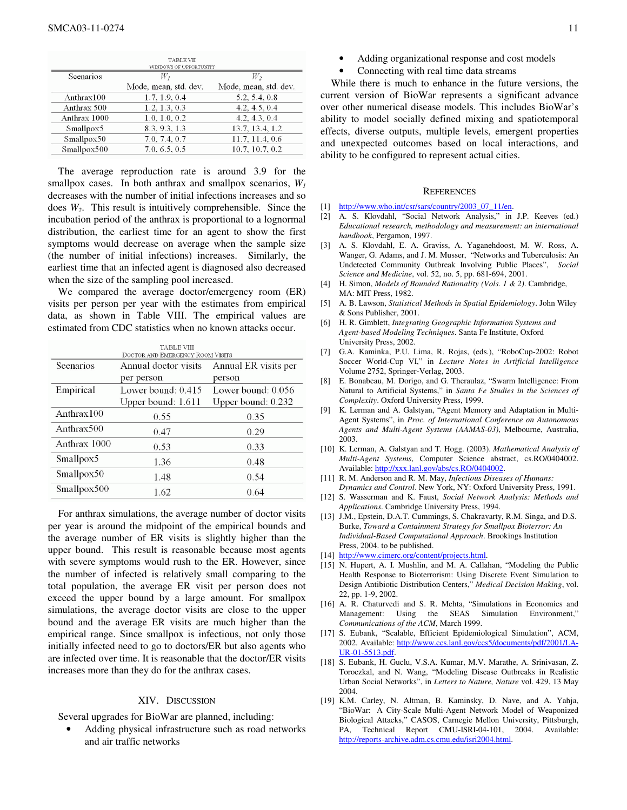|                       | <b>TABLE VII</b><br><b>WINDOWS OF OPPORTUNITY</b> |                       |
|-----------------------|---------------------------------------------------|-----------------------|
| Scenarios             | W,                                                | W,                    |
|                       | Mode, mean, std. dev.                             | Mode, mean, std. dev. |
| Anthrax100            | 1.7, 1.9, 0.4                                     | 5.2, 5.4, 0.8         |
| Anthrax 500           | 1.2, 1.3, 0.3                                     | 4.2, 4.5, 0.4         |
| Anthrax 1000          | 1.0, 1.0, 0.2                                     | 4.2, 4.3, 0.4         |
| Smallpox <sub>5</sub> | 8.3, 9.3, 1.3                                     | 13.7, 13.4, 1.2       |
| Smallpox50            | 7.0, 7.4, 0.7                                     | 11.7, 11.4, 0.6       |
| Smallpox500           | 7.0, 6.5, 0.5                                     | 10.7, 10.7, 0.2       |

The average reproduction rate is around 3.9 for the smallpox cases. In both anthrax and smallpox scenarios, *W<sup>1</sup>* decreases with the number of initial infections increases and so does *W2*. This result is intuitively comprehensible. Since the incubation period of the anthrax is proportional to a lognormal distribution, the earliest time for an agent to show the first symptoms would decrease on average when the sample size (the number of initial infections) increases. Similarly, the earliest time that an infected agent is diagnosed also decreased when the size of the sampling pool increased.

We compared the average doctor/emergency room (ER) visits per person per year with the estimates from empirical data, as shown in Table VIII. The empirical values are estimated from CDC statistics when no known attacks occur.

| <b>TABLE VIII</b><br>DOCTOR AND EMERGENCY ROOM VISITS |                      |                      |  |  |
|-------------------------------------------------------|----------------------|----------------------|--|--|
| Scenarios                                             | Annual doctor visits | Annual ER visits per |  |  |
|                                                       | per person           | person               |  |  |
| Empirical                                             | Lower bound: $0.415$ | Lower bound: $0.056$ |  |  |
|                                                       | Upper bound: $1.611$ | Upper bound: 0.232   |  |  |
| Anthrax 100                                           | 0.55                 | 0.35                 |  |  |
| Anthrax500                                            | 0.47                 | 0.29                 |  |  |
| Anthrax 1000                                          | 0.53                 | 0.33                 |  |  |
| Smallpox5                                             | 1.36                 | 0.48                 |  |  |
| Smallpox50                                            | 1.48                 | 0.54                 |  |  |
| Smallpox500                                           | 1.62                 | 0.64                 |  |  |

For anthrax simulations, the average number of doctor visits per year is around the midpoint of the empirical bounds and the average number of ER visits is slightly higher than the upper bound. This result is reasonable because most agents with severe symptoms would rush to the ER. However, since the number of infected is relatively small comparing to the total population, the average ER visit per person does not exceed the upper bound by a large amount. For smallpox simulations, the average doctor visits are close to the upper bound and the average ER visits are much higher than the empirical range. Since smallpox is infectious, not only those initially infected need to go to doctors/ER but also agents who are infected over time. It is reasonable that the doctor/ER visits increases more than they do for the anthrax cases.

# XIV. DISCUSSION

Several upgrades for BioWar are planned, including:

• Adding physical infrastructure such as road networks and air traffic networks

- Adding organizational response and cost models
- Connecting with real time data streams

While there is much to enhance in the future versions, the current version of BioWar represents a significant advance over other numerical disease models. This includes BioWar's ability to model socially defined mixing and spatiotemporal effects, diverse outputs, multiple levels, emergent properties and unexpected outcomes based on local interactions, and ability to be configured to represent actual cities.

#### **REFERENCES**

- [1] http://www.who.int/csr/sars/country/2003\_07\_11/en.
- [2] A. S. Klovdahl, "Social Network Analysis," in J.P. Keeves (ed.) *Educational research, methodology and measurement: an international handbook*, Pergamon, 1997.
- [3] A. S. Klovdahl, E. A. Graviss, A. Yaganehdoost, M. W. Ross, A. Wanger, G. Adams, and J. M. Musser, "Networks and Tuberculosis: An Undetected Community Outbreak Involving Public Places", *Social Science and Medicine*, vol. 52, no. 5, pp. 681-694, 2001.
- [4] H. Simon, *Models of Bounded Rationality (Vols. 1 & 2)*. Cambridge, MA: MIT Press, 1982.
- [5] A. B. Lawson, *Statistical Methods in Spatial Epidemiology*. John Wiley & Sons Publisher, 2001.
- [6] H. R. Gimblett, *Integrating Geographic Information Systems and Agent-based Modeling Techniques*. Santa Fe Institute, Oxford University Press, 2002.
- [7] G.A. Kaminka, P.U. Lima, R. Rojas, (eds.), "RoboCup-2002: Robot Soccer World-Cup VI," in *Lecture Notes in Artificial Intelligence* Volume 2752, Springer-Verlag, 2003.
- [8] E. Bonabeau, M. Dorigo, and G. Theraulaz, "Swarm Intelligence: From Natural to Artificial Systems," in *Santa Fe Studies in the Sciences of Complexity*. Oxford University Press, 1999.
- [9] K. Lerman and A. Galstyan, "Agent Memory and Adaptation in Multi-Agent Systems", in *Proc. of International Conference on Autonomous Agents and Multi-Agent Systems (AAMAS-03)*, Melbourne, Australia, 2003.
- [10] K. Lerman, A. Galstyan and T. Hogg. (2003). *Mathematical Analysis of Multi-Agent Systems*, Computer Science abstract, cs.RO/0404002. Available: http://xxx.lanl.gov/abs/cs.RO/0404002.
- [11] R. M. Anderson and R. M. May, *Infectious Diseases of Humans: Dynamics and Control*. New York, NY: Oxford University Press, 1991.
- [12] S. Wasserman and K. Faust, *Social Network Analysis: Methods and Applications*. Cambridge University Press, 1994.
- [13] J.M., Epstein, D.A.T. Cummings, S. Chakravarty, R.M. Singa, and D.S. Burke, *Toward a Containment Strategy for Smallpox Bioterror: An Individual-Based Computational Approach*. Brookings Institution Press, 2004. to be published.
- [14] http://www.cimerc.org/content/projects.html.
- [15] N. Hupert, A. I. Mushlin, and M. A. Callahan, "Modeling the Public Health Response to Bioterrorism: Using Discrete Event Simulation to Design Antibiotic Distribution Centers," *Medical Decision Making*, vol. 22, pp. 1-9, 2002.
- [16] A. R. Chaturvedi and S. R. Mehta, "Simulations in Economics and Management: Using the SEAS Simulation Environment," *Communications of the ACM*, March 1999.
- [17] S. Eubank, "Scalable, Efficient Epidemiological Simulation", ACM, 2002. Available: http://www.ccs.lanl.gov/ccs5/documents/pdf/2001/LA-UR-01-5513.pdf.
- [18] S. Eubank, H. Guclu, V.S.A. Kumar, M.V. Marathe, A. Srinivasan, Z. Toroczkal, and N. Wang, "Modeling Disease Outbreaks in Realistic Urban Social Networks", in *Letters to Nature, Nature* vol. 429, 13 May 2004.
- [19] K.M. Carley, N. Altman, B. Kaminsky, D. Nave, and A. Yahja, "BioWar: A City-Scale Multi-Agent Network Model of Weaponized Biological Attacks," CASOS, Carnegie Mellon University, Pittsburgh, PA, Technical Report CMU-ISRI-04-101, 2004. Available: http://reports-archive.adm.cs.cmu.edu/isri2004.html.